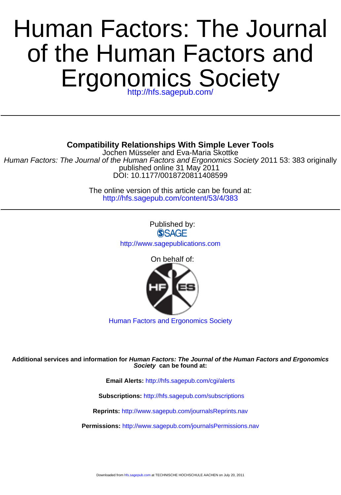# Ergonomics Society of the Human Factors and Human Factors: The Journal

# **Compatibility Relationships With Simple Lever Tools**

DOI: 10.1177/0018720811408599 published online 31 May 2011 Human Factors: The Journal of the Human Factors and Ergonomics Society 2011 53: 383 originally Jochen Müsseler and Eva-Maria Skottke

> <http://hfs.sagepub.com/content/53/4/383> The online version of this article can be found at:

> > Published by: **SSAGE**

<http://www.sagepublications.com>

On behalf of:



[Human Factors and Ergonomics Society](http://www.hfes.org)

**Society can be found at: Additional services and information for Human Factors: The Journal of the Human Factors and Ergonomics**

**Email Alerts:** <http://hfs.sagepub.com/cgi/alerts>

**Subscriptions:** <http://hfs.sagepub.com/subscriptions>

**Reprints:** <http://www.sagepub.com/journalsReprints.nav>

**Permissions:** <http://www.sagepub.com/journalsPermissions.nav>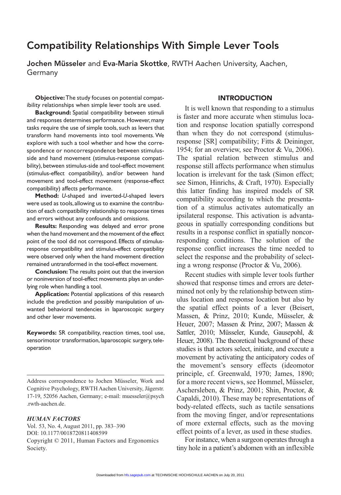# Compatibility Relationships With Simple Lever Tools

Jochen Müsseler and Eva-Maria Skottke, RWTH Aachen University, Aachen, Germany

**Objective:** The study focuses on potential compatibility relationships when simple lever tools are used.

**Background:** Spatial compatibility between stimuli and responses determines performance. However, many tasks require the use of simple tools, such as levers that transform hand movements into tool movements. We explore with such a tool whether and how the correspondence or noncorrespondence between stimulusside and hand movement (stimulus-response compatibility), between stimulus-side and tool-effect movement (stimulus-effect compatibility), and/or between hand movement and tool-effect movement (response-effect compatibility) affects performance.

**Method:** *U*-shaped and inverted-*U*-shaped levers were used as tools, allowing us to examine the contribution of each compatibility relationship to response times and errors without any confounds and omissions.

**Results:** Responding was delayed and error prone when the hand movement and the movement of the effect point of the tool did not correspond. Effects of stimulusresponse compatibility and stimulus-effect compatibility were observed only when the hand movement direction remained untransformed in the tool-effect movement.

**Conclusion:** The results point out that the inversion or noninversion of tool-effect movements plays an underlying role when handling a tool.

**Application:** Potential applications of this research include the prediction and possibly manipulation of unwanted behavioral tendencies in laparoscopic surgery and other lever movements.

**Keywords:** SR compatibility, reaction times, tool use, sensorimotor transformation, laparoscopic surgery, teleoperation

#### *HUMAN FACTORS*

Vol. 53, No. 4, August 2011, pp. 383–390 DOI: 10.1177/0018720811408599 Copyright © 2011, Human Factors and Ergonomics Society.

# **INTRODUCTION**

It is well known that responding to a stimulus is faster and more accurate when stimulus location and response location spatially correspond than when they do not correspond (stimulusresponse [SR] compatibility; Fitts & Deininger, 1954; for an overview, see Proctor & Vu, 2006). The spatial relation between stimulus and response still affects performance when stimulus location is irrelevant for the task (Simon effect; see Simon, Hinrichs, & Craft, 1970). Especially this latter finding has inspired models of SR compatibility according to which the presentation of a stimulus activates automatically an ipsilateral response. This activation is advantageous in spatially corresponding conditions but results in a response conflict in spatially noncorresponding conditions. The solution of the response conflict increases the time needed to select the response and the probability of selecting a wrong response (Proctor & Vu, 2006).

Recent studies with simple lever tools further showed that response times and errors are determined not only by the relationship between stimulus location and response location but also by the spatial effect points of a lever (Beisert, Massen, & Prinz, 2010; Kunde, Müsseler, & Heuer, 2007; Massen & Prinz, 2007; Massen & Sattler, 2010; Müsseler, Kunde, Gausepohl, & Heuer, 2008). The theoretical background of these studies is that actors select, initiate, and execute a movement by activating the anticipatory codes of the movement's sensory effects (ideomotor principle, cf. Greenwald, 1970; James, 1890; for a more recent views, see Hommel, Müsseler, Aschersleben, & Prinz, 2001; Shin, Proctor, & Capaldi, 2010). These may be representations of body-related effects, such as tactile sensations from the moving finger, and/or representations of more external effects, such as the moving effect points of a lever, as used in these studies.

For instance, when a surgeon operates through a tiny hole in a patient's abdomen with an inflexible

Address correspondence to Jochen Müsseler, Work and Cognitive Psychology, RWTH Aachen University, Jägerstr. 17-19, 52056 Aachen, Germany; e-mail: muesseler@psych .rwth-aachen.de.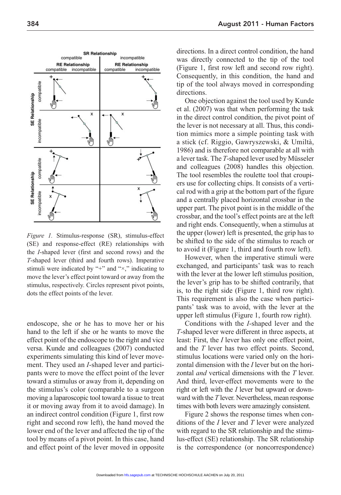

*Figure 1.* Stimulus-response (SR), stimulus-effect (SE) and response-effect (RE) relationships with the *I*-shaped lever (first and second rows) and the *T*-shaped lever (third and fourth rows). Imperative stimuli were indicated by "+" and "×," indicating to move the lever's effect point toward or away from the stimulus, respectively. Circles represent pivot points, dots the effect points of the lever.

endoscope, she or he has to move her or his hand to the left if she or he wants to move the effect point of the endoscope to the right and vice versa. Kunde and colleagues (2007) conducted experiments simulating this kind of lever movement. They used an *I*-shaped lever and participants were to move the effect point of the lever toward a stimulus or away from it, depending on the stimulus's color (comparable to a surgeon moving a laparoscopic tool toward a tissue to treat it or moving away from it to avoid damage). In an indirect control condition (Figure 1, first row right and second row left), the hand moved the lower end of the lever and affected the tip of the tool by means of a pivot point. In this case, hand and effect point of the lever moved in opposite directions. In a direct control condition, the hand was directly connected to the tip of the tool (Figure 1, first row left and second row right). Consequently, in this condition, the hand and tip of the tool always moved in corresponding directions.

One objection against the tool used by Kunde et al. (2007) was that when performing the task in the direct control condition, the pivot point of the lever is not necessary at all. Thus, this condition mimics more a simple pointing task with a stick (cf. Riggio, Gawryszewski, & Umiltà, 1986) and is therefore not comparable at all with a lever task. The *T*-shaped lever used by Müsseler and colleagues (2008) handles this objection. The tool resembles the roulette tool that croupiers use for collecting chips. It consists of a vertical rod with a grip at the bottom part of the figure and a centrally placed horizontal crossbar in the upper part. The pivot point is in the middle of the crossbar, and the tool's effect points are at the left and right ends. Consequently, when a stimulus at the upper (lower) left is presented, the grip has to be shifted to the side of the stimulus to reach or to avoid it (Figure 1, third and fourth row left).

However, when the imperative stimuli were exchanged, and participants' task was to reach with the lever at the lower left stimulus position, the lever's grip has to be shifted contrarily, that is, to the right side (Figure 1, third row right). This requirement is also the case when participants' task was to avoid, with the lever at the upper left stimulus (Figure 1, fourth row right).

Conditions with the *I*-shaped lever and the *T*-shaped lever were different in three aspects, at least: First, the *I* lever has only one effect point, and the *T* lever has two effect points. Second, stimulus locations were varied only on the horizontal dimension with the *I* lever but on the horizontal *and* vertical dimensions with the *T* lever. And third, lever-effect movements were to the right or left with the *I* lever but upward or downward with the *T* lever. Nevertheless, mean response times with both levers were amazingly consistent.

Figure 2 shows the response times when conditions of the *I* lever and *T* lever were analyzed with regard to the SR relationship and the stimulus-effect (SE) relationship. The SR relationship is the correspondence (or noncorrespondence)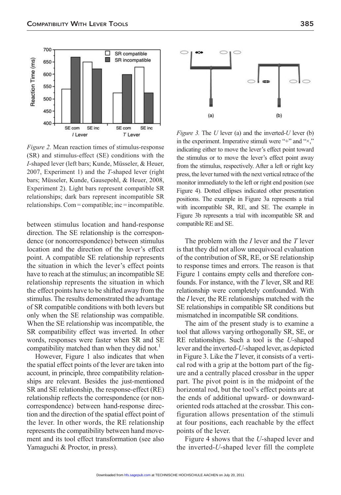

*Figure 2.* Mean reaction times of stimulus-response (SR) and stimulus-effect (SE) conditions with the *I*-shaped lever (left bars; Kunde, Müsseler, & Heuer, 2007, Experiment 1) and the *T*-shaped lever (right bars; Müsseler, Kunde, Gausepohl, & Heuer, 2008, Experiment 2). Light bars represent compatible SR relationships; dark bars represent incompatible SR relationships. Com = compatible; inc = incompatible.

between stimulus location and hand-response direction. The SE relationship is the correspondence (or noncorrespondence) between stimulus location and the direction of the lever's effect point. A compatible SE relationship represents the situation in which the lever's effect points have to reach at the stimulus; an incompatible SE relationship represents the situation in which the effect points have to be shifted away from the stimulus. The results demonstrated the advantage of SR compatible conditions with both levers but only when the SE relationship was compatible. When the SE relationship was incompatible, the SR compatibility effect was inverted. In other words, responses were faster when SR and SE compatibility matched than when they did not.<sup>1</sup>

However, Figure 1 also indicates that when the spatial effect points of the lever are taken into account, in principle, three compatibility relationships are relevant. Besides the just-mentioned SR and SE relationship, the response-effect (RE) relationship reflects the correspondence (or noncorrespondence) between hand-response direction and the direction of the spatial effect point of the lever. In other words, the RE relationship represents the compatibility between hand movement and its tool effect transformation (see also Yamaguchi & Proctor, in press).



*Figure 3.* The *U* lever (a) and the inverted-*U* lever (b) in the experiment. Imperative stimuli were "+" and "×," indicating either to move the lever's effect point toward the stimulus or to move the lever's effect point away from the stimulus, respectively. After a left or right key press, the lever turned with the next vertical retrace of the monitor immediately to the left or right end position (see Figure 4). Dotted ellipses indicated other presentation positions. The example in Figure 3a represents a trial with incompatible SR, RE, and SE. The example in Figure 3b represents a trial with incompatible SR and compatible RE and SE.

The problem with the *I* lever and the *T* lever is that they did not allow unequivocal evaluation of the contribution of SR, RE, or SE relationship to response times and errors. The reason is that Figure 1 contains empty cells and therefore confounds. For instance, with the *T* lever, SR and RE relationship were completely confounded. With the *I* lever, the RE relationships matched with the SE relationships in compatible SR conditions but mismatched in incompatible SR conditions.

The aim of the present study is to examine a tool that allows varying orthogonally SR, SE, or RE relationships. Such a tool is the *U*-shaped lever and the inverted-*U*-shaped lever, as depicted in Figure 3. Like the *T* lever, it consists of a vertical rod with a grip at the bottom part of the figure and a centrally placed crossbar in the upper part. The pivot point is in the midpoint of the horizontal rod, but the tool's effect points are at the ends of additional upward- or downwardoriented rods attached at the crossbar. This configuration allows presentation of the stimuli at four positions, each reachable by the effect points of the lever.

Figure 4 shows that the *U*-shaped lever and the inverted-*U*-shaped lever fill the complete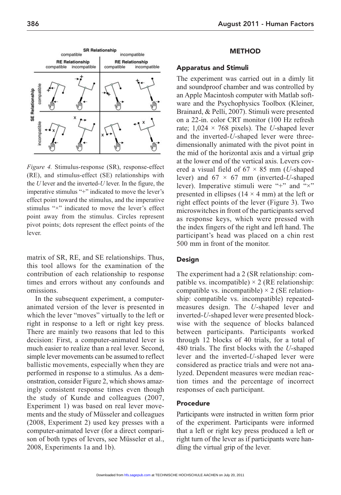

*Figure 4.* Stimulus-response (SR), response-effect (RE), and stimulus-effect (SE) relationships with the *U* lever and the inverted-*U* lever. In the figure, the imperative stimulus "+" indicated to move the lever's effect point toward the stimulus, and the imperative stimulus "×" indicated to move the lever's effect point away from the stimulus. Circles represent pivot points; dots represent the effect points of the lever.

matrix of SR, RE, and SE relationships. Thus, this tool allows for the examination of the contribution of each relationship to response times and errors without any confounds and omissions.

In the subsequent experiment, a computeranimated version of the lever is presented in which the lever "moves" virtually to the left or right in response to a left or right key press. There are mainly two reasons that led to this decision: First, a computer-animated lever is much easier to realize than a real lever. Second, simple lever movements can be assumed to reflect ballistic movements, especially when they are performed in response to a stimulus. As a demonstration, consider Figure 2, which shows amazingly consistent response times even though the study of Kunde and colleagues (2007, Experiment 1) was based on real lever movements and the study of Müsseler and colleagues (2008, Experiment 2) used key presses with a computer-animated lever (for a direct comparison of both types of levers, see Müsseler et al., 2008, Experiments 1a and 1b).

### **METHOD**

#### Apparatus and Stimuli

The experiment was carried out in a dimly lit and soundproof chamber and was controlled by an Apple Macintosh computer with Matlab software and the Psychophysics Toolbox (Kleiner, Brainard, & Pelli, 2007). Stimuli were presented on a 22-in. color CRT monitor (100 Hz refresh rate;  $1,024 \times 768$  pixels). The *U*-shaped lever and the inverted-*U*-shaped lever were threedimensionally animated with the pivot point in the mid of the horizontal axis and a virtual grip at the lower end of the vertical axis. Levers covered a visual field of 67 × 85 mm (*U*-shaped lever) and  $67 \times 67$  mm (inverted-*U*-shaped lever). Imperative stimuli were "+" and "×" presented in ellipses  $(14 \times 4 \text{ mm})$  at the left or right effect points of the lever (Figure 3). Two microswitches in front of the participants served as response keys, which were pressed with the index fingers of the right and left hand. The participant's head was placed on a chin rest 500 mm in front of the monitor.

# Design

The experiment had a 2 (SR relationship: compatible vs. incompatible)  $\times$  2 (RE relationship: compatible vs. incompatible)  $\times$  2 (SE relationship: compatible vs. incompatible) repeatedmeasures design. The *U*-shaped lever and inverted-*U*-shaped lever were presented blockwise with the sequence of blocks balanced between participants. Participants worked through 12 blocks of 40 trials, for a total of 480 trials. The first blocks with the *U*-shaped lever and the inverted-*U*-shaped lever were considered as practice trials and were not analyzed. Dependent measures were median reaction times and the percentage of incorrect responses of each participant.

# Procedure

Participants were instructed in written form prior of the experiment. Participants were informed that a left or right key press produced a left or right turn of the lever as if participants were handling the virtual grip of the lever.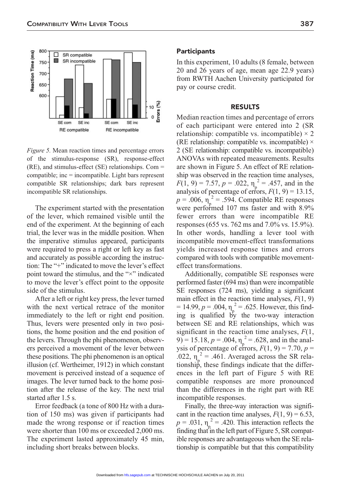

*Figure 5.* Mean reaction times and percentage errors of the stimulus-response (SR), response-effect (RE), and stimulus-effect (SE) relationships. Com = compatible; inc = incompatible. Light bars represent compatible SR relationships; dark bars represent incompatible SR relationships.

The experiment started with the presentation of the lever, which remained visible until the end of the experiment. At the beginning of each trial, the lever was in the middle position. When the imperative stimulus appeared, participants were required to press a right or left key as fast and accurately as possible according the instruction: The "+" indicated to move the lever's effect point toward the stimulus, and the "×" indicated to move the lever's effect point to the opposite side of the stimulus.

After a left or right key press, the lever turned with the next vertical retrace of the monitor immediately to the left or right end position. Thus, levers were presented only in two positions, the home position and the end position of the levers. Through the phi phenomenon, observers perceived a movement of the lever between these positions. The phi phenomenon is an optical illusion (cf. Wertheimer, 1912) in which constant movement is perceived instead of a sequence of images. The lever turned back to the home position after the release of the key. The next trial started after 1.5 s.

Error feedback (a tone of 800 Hz with a duration of 150 ms) was given if participants had made the wrong response or if reaction times were shorter than 100 ms or exceeded 2,000 ms. The experiment lasted approximately 45 min, including short breaks between blocks.

#### **Participants**

In this experiment, 10 adults (8 female, between 20 and 26 years of age, mean age 22.9 years) from RWTH Aachen University participated for pay or course credit.

#### **RESULTS**

Median reaction times and percentage of errors of each participant were entered into 2 (SR relationship: compatible vs. incompatible)  $\times$  2 (RE relationship: compatible vs. incompatible)  $\times$ 2 (SE relationship: compatible vs. incompatible) ANOVAs with repeated measurements. Results are shown in Figure 5. An effect of RE relationship was observed in the reaction time analyses,  $F(1, 9) = 7.57, p = .022, \eta_p^2 = .457, \text{ and in the}$ analysis of percentage of errors,  $F(1, 9) = 13.15$ ,  $p = .006$ ,  $p_p^2 = .594$ . Compatible RE responses were performed 107 ms faster and with 8.9% fewer errors than were incompatible RE responses (655 vs. 762 ms and 7.0% vs. 15.9%). In other words, handling a lever tool with incompatible movement-effect transformations yields increased response times and errors compared with tools with compatible movementeffect transformations.

Additionally, compatible SE responses were performed faster (694 ms) than were incompatible SE responses (724 ms), yielding a significant main effect in the reaction time analyses,  $F(1, 9)$  $= 14.99, p = .004, \eta^{2} = .625$ . However, this finding is qualified by the two-way interaction between SE and RE relationships, which was significant in the reaction time analyses, *F*(1, 9) = 15.18,  $p = .004$ ,  $\eta_p^2 = .628$ , and in the analysis of percentage of errors,  $F(1, 9) = 7.70$ ,  $p =$ .022,  $\eta_p^2$  = .461. Averaged across the SR relationship, these findings indicate that the differences in the left part of Figure 5 with RE compatible responses are more pronounced than the differences in the right part with RE incompatible responses.

Finally, the three-way interaction was significant in the reaction time analyses,  $F(1, 9) = 6.53$ ,  $p = .031$ ,  $\eta_p^2 = .420$ . This interaction reflects the finding that in the left part of Figure 5, SR compatible responses are advantageous when the SE relationship is compatible but that this compatibility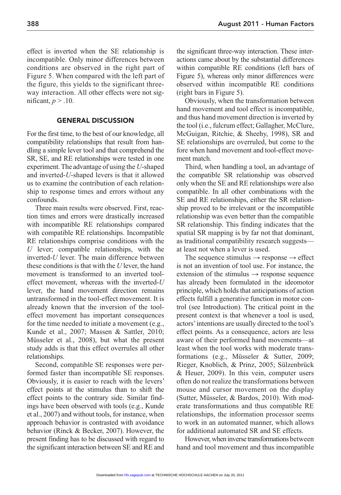effect is inverted when the SE relationship is incompatible. Only minor differences between conditions are observed in the right part of Figure 5. When compared with the left part of the figure, this yields to the significant threeway interaction. All other effects were not significant,  $p > .10$ .

# General Discussion

For the first time, to the best of our knowledge, all compatibility relationships that result from handling a simple lever tool and that comprehend the SR, SE, and RE relationships were tested in one experiment. The advantage of using the *U*-shaped and inverted-*U*-shaped levers is that it allowed us to examine the contribution of each relationship to response times and errors without any confounds.

Three main results were observed. First, reaction times and errors were drastically increased with incompatible RE relationships compared with compatible RE relationships. Incompatible RE relationships comprise conditions with the *U* lever; compatible relationships, with the inverted-*U* lever. The main difference between these conditions is that with the *U* lever, the hand movement is transformed to an inverted tooleffect movement, whereas with the inverted-*U* lever, the hand movement direction remains untransformed in the tool-effect movement. It is already known that the inversion of the tooleffect movement has important consequences for the time needed to initiate a movement (e.g., Kunde et al., 2007; Massen & Sattler, 2010; Müsseler et al., 2008), but what the present study adds is that this effect overrules all other relationships.

Second, compatible SE responses were performed faster than incompatible SE responses. Obviously, it is easier to reach with the levers' effect points at the stimulus than to shift the effect points to the contrary side. Similar findings have been observed with tools (e.g., Kunde et al., 2007) and without tools, for instance, when approach behavior is contrasted with avoidance behavior (Rinck & Becker, 2007). However, the present finding has to be discussed with regard to the significant interaction between SE and RE and the significant three-way interaction. These interactions came about by the substantial differences within compatible RE conditions (left bars of Figure 5), whereas only minor differences were observed within incompatible RE conditions (right bars in Figure 5).

Obviously, when the transformation between hand movement and tool effect is incompatible, and thus hand movement direction is inverted by the tool (i.e., fulcrum effect; Gallagher, McClure, McGuigan, Ritchie, & Sheehy, 1998), SR and SE relationships are overruled, but come to the fore when hand movement and tool-effect movement match.

Third, when handling a tool, an advantage of the compatible SR relationship was observed only when the SE and RE relationships were also compatible. In all other combinations with the SE and RE relationships, either the SR relationship proved to be irrelevant or the incompatible relationship was even better than the compatible SR relationship. This finding indicates that the spatial SR mapping is by far not that dominant, as traditional compatibility research suggests at least not when a lever is used.

The sequence stimulus  $\rightarrow$  response  $\rightarrow$  effect is not an invention of tool use. For instance, the extension of the stimulus  $\rightarrow$  response sequence has already been formulated in the ideomotor principle, which holds that anticipations of action effects fulfill a generative function in motor control (see Introduction). The critical point in the present context is that whenever a tool is used, actors' intentions are usually directed to the tool's effect points. As a consequence, actors are less aware of their performed hand movements—at least when the tool works with moderate transformations (e.g., Müsseler & Sutter, 2009; Rieger, Knoblich, & Prinz, 2005; Sülzenbrück & Heuer, 2009). In this vein, computer users often do not realize the transformations between mouse and cursor movement on the display (Sutter, Müsseler, & Bardos, 2010). With moderate transformations and thus compatible RE relationships, the information processor seems to work in an automated manner, which allows for additional automated SR and SE effects.

However, when inverse transformations between hand and tool movement and thus incompatible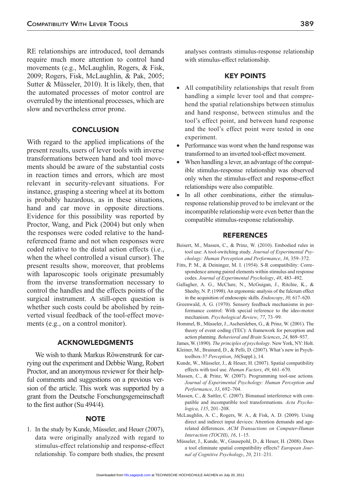RE relationships are introduced, tool demands require much more attention to control hand movements (e.g., McLaughlin, Rogers, & Fisk, 2009; Rogers, Fisk, McLaughlin, & Pak, 2005; Sutter & Müsseler, 2010). It is likely, then, that the automated processes of motor control are overruled by the intentional processes, which are slow and nevertheless error prone.

# **CONCLUSION**

With regard to the applied implications of the present results, users of lever tools with inverse transformations between hand and tool movements should be aware of the substantial costs in reaction times and errors, which are most relevant in security-relevant situations. For instance, grasping a steering wheel at its bottom is probably hazardous, as in these situations, hand and car move in opposite directions. Evidence for this possibility was reported by Proctor, Wang, and Pick (2004) but only when the responses were coded relative to the handreferenced frame and not when responses were coded relative to the distal action effects (i.e., when the wheel controlled a visual cursor). The present results show, moreover, that problems with laparoscopic tools originate presumably from the inverse transformation necessary to control the handles and the effects points of the surgical instrument. A still-open question is whether such costs could be abolished by reinverted visual feedback of the tool-effect movements (e.g., on a control monitor).

# Acknowledgments

We wish to thank Markus Röwenstrunk for carrying out the experiment and Debbie Wang, Robert Proctor, and an anonymous reviewer for their helpful comments and suggestions on a previous version of the article. This work was supported by a grant from the Deutsche Forschungsgemeinschaft to the first author (Su 494/4).

#### **NOTE**

1. In the study by Kunde, Müsseler, and Heuer (2007), data were originally analyzed with regard to stimulus-effect relationship and response-effect relationship. To compare both studies, the present analyses contrasts stimulus-response relationship with stimulus-effect relationship.

#### **KEY POINTS**

- All compatibility relationships that result from handling a simple lever tool and that comprehend the spatial relationships between stimulus and hand response, between stimulus and the tool's effect point, and between hand response and the tool's effect point were tested in one experiment.
- Performance was worst when the hand response was transformed to an inverted tool-effect movement.
- When handling a lever, an advantage of the compatible stimulus-response relationship was observed only when the stimulus-effect and response-effect relationships were also compatible.
- In all other combinations, either the stimulusresponse relationship proved to be irrelevant or the incompatible relationship were even better than the compatible stimulus-response relationship.

#### **REFERENCES**

- Beisert, M., Massen, C., & Prinz, W. (2010). Embodied rules in tool use: A tool-switching study. *Journal of Experimental Psychology: Human Perception and Performance*, *36*, 359–372.
- Fitts, P. M., & Deininger, M. I. (1954). S-R compatibility: Correspondence among paired elements within stimulus and response codes. *Journal of Experimental Psychology*, *48*, 483–492.
- Gallagher, A. G., McClure, N., McGuigan, J., Ritchie, K., & Sheehy, N. P. (1998). An ergonomic analysis of the fulcrum effect in the acquisition of endoscopic skills. *Endoscopy*, *30*, 617–620.
- Greenwald, A. G. (1970). Sensory feedback mechanisms in performance control: With special reference to the ideo-motor mechanism. *Psychological Review*, *77*, 73–99.
- Hommel, B., Müsseler, J., Aschersleben, G., & Prinz, W. (2001). The theory of event coding (TEC): A framework for perception and action planning. *Behavioral and Brain Sciences*, *24*, 869–937.
- James, W. (1890). *The principles of psychology*. New York, NY: Holt.
- Kleiner, M., Brainard, D., & Pelli, D. (2007). What's new in Psychtoolbox-3? *Perception*, *36*(Suppl.), 14.
- Kunde, W., Müsseler, J., & Heuer, H. (2007). Spatial compatibility effects with tool use. *Human Factors*, *49*, 661–670.
- Massen, C., & Prinz, W. (2007). Programming tool-use actions*. Journal of Experimental Psychology: Human Perception and Performance*, *33*, 692–704.
- Massen, C., & Sattler, C. (2007). Bimanual interference with compatible and incompatible tool transformations. *Acta Psychologica*, *135*, 201–208.
- McLaughlin, A. C., Rogers, W. A., & Fisk, A. D. (2009). Using direct and indirect input devices: Attention demands and agerelated differences. *ACM Transactions on Computer-Human Interaction (TOCHI)*, *16*, 1–15.
- Müsseler, J., Kunde, W., Gausepohl, D., & Heuer, H. (2008). Does a tool eliminate spatial compatibility effects? *European Journal of Cognitive Psychology*, *20*, 211–231.